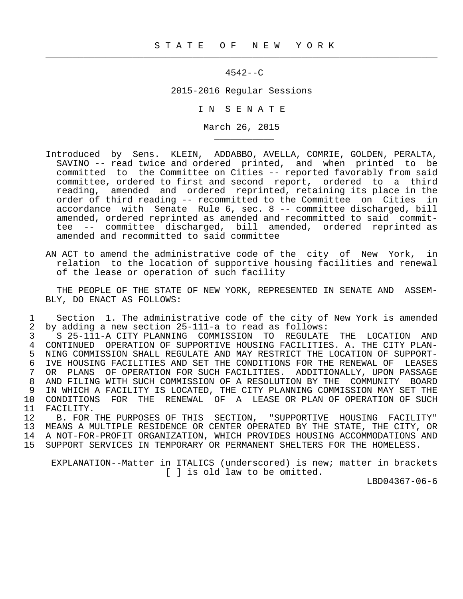$\frac{1}{2}$  , and the contribution of the contribution of the contribution of the contribution of the contribution of the contribution of the contribution of the contribution of the contribution of the contribution of the c

\_\_\_\_\_\_\_\_\_\_\_

## 4542--C

2015-2016 Regular Sessions

I N S E N A T E

March 26, 2015

- Introduced by Sens. KLEIN, ADDABBO, AVELLA, COMRIE, GOLDEN, PERALTA, SAVINO -- read twice and ordered printed, and when printed to be committed to the Committee on Cities -- reported favorably from said committee, ordered to first and second report, ordered to a third reading, amended and ordered reprinted, retaining its place in the order of third reading -- recommitted to the Committee on Cities in accordance with Senate Rule 6, sec. 8 -- committee discharged, bill amended, ordered reprinted as amended and recommitted to said commit tee -- committee discharged, bill amended, ordered reprinted as amended and recommitted to said committee
- AN ACT to amend the administrative code of the city of New York, in relation to the location of supportive housing facilities and renewal of the lease or operation of such facility

 THE PEOPLE OF THE STATE OF NEW YORK, REPRESENTED IN SENATE AND ASSEM- BLY, DO ENACT AS FOLLOWS:

1 Section 1. The administrative code of the city of New York is amended<br>2 by adding a new section 25-111-a to read as follows: 2 by adding a new section 25-111-a to read as follows:

3 S 25-111-A CITY PLANNING COMMISSION TO REGULATE THE LOCATION AND<br>4 CONTINUED OPERATION OF SUPPORTIVE HOUSING FACILITIES, A. THE CITY PLAN-4 CONTINUED OPERATION OF SUPPORTIVE HOUSING FACILITIES. A. THE CITY PLAN-<br>5 NING COMMISSION SHALL REGULATE AND MAY RESTRICT THE LOCATION OF SUPPORT-5 NING COMMISSION SHALL REGULATE AND MAY RESTRICT THE LOCATION OF SUPPORT-<br>6 IVE HOUSING FACILITIES AND SET THE CONDITIONS FOR THE RENEWAL OF LEASES 6 IVE HOUSING FACILITIES AND SET THE CONDITIONS FOR THE RENEWAL OF LEASES<br>7 OR PLANS OF OPERATION FOR SUCH FACILITIES. ADDITIONALLY, UPON PASSAGE 7 OR PLANS OF OPERATION FOR SUCH FACILITIES. ADDITIONALLY, UPON PASSAGE 8 AND FILING WITH SUCH COMMISSION OF A RESOLUTION BY THE COMMUNITY BOARD<br>9 IN WHICH A FACILITY IS LOCATED, THE CITY PLANNING COMMISSION MAY SET THE 9 IN WHICH A FACILITY IS LOCATED, THE CITY PLANNING COMMISSION MAY SET THE<br>10 CONDITIONS FOR THE RENEWAL OF A LEASE OR PLAN OF OPERATION OF SUCH 10 CONDITIONS FOR THE RENEWAL OF A LEASE OR PLAN OF OPERATION OF SUCH 11 FACILITY. 11 FACILITY.<br>12 B. FOR

 12 B. FOR THE PURPOSES OF THIS SECTION, "SUPPORTIVE HOUSING FACILITY" 13 MEANS A MULTIPLE RESIDENCE OR CENTER OPERATED BY THE STATE, THE CITY, OR 14 A NOT-FOR-PROFIT ORGANIZATION, WHICH PROVIDES HOUSING ACCOMMODATIONS AND 15 SUPPORT SERVICES IN TEMPORARY OR PERMANENT SHELTERS FOR THE HOMELESS.

 EXPLANATION--Matter in ITALICS (underscored) is new; matter in brackets [ ] is old law to be omitted.

LBD04367-06-6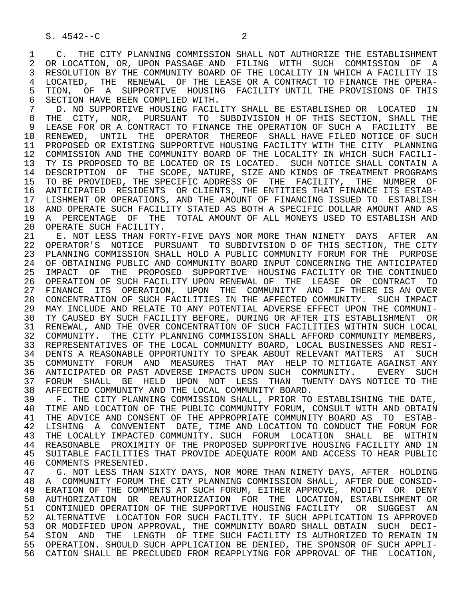1 C. THE CITY PLANNING COMMISSION SHALL NOT AUTHORIZE THE ESTABLISHMENT<br>2 OR LOCATION, OR, UPON PASSAGE AND FILING WITH SUCH COMMISSION OF A 2 OR LOCATION, OR, UPON PASSAGE AND FILING WITH SUCH COMMISSION OF A<br>3 RESOLUTION BY THE COMMUNITY BOARD OF THE LOCALITY IN WHICH A FACILITY IS 3 RESOLUTION BY THE COMMUNITY BOARD OF THE LOCALITY IN WHICH A FACILITY IS<br>4 LOCATED. THE RENEWAL OF THE LEASE OR A CONTRACT TO FINANCE THE OPERA-4 LOCATED, THE RENEWAL OF THE LEASE OR A CONTRACT TO FINANCE THE OPERA-<br>5 TION, OF A SUPPORTIVE HOUSING FACILITY UNTIL THE PROVISIONS OF THIS 5 TION, OF A SUPPORTIVE HOUSING FACILITY UNTIL THE PROVISIONS OF THIS<br>6 SECTION HAVE BEEN COMPLIED WITH. 6 SECTION HAVE BEEN COMPLIED WITH.<br>7 D. NO SUPPORTIVE HOUSING FACIL

T THE ORDER ON DETAIL THE ESTABLISHED OR LOCATED IN THE CONTROLLING CONTROLLER THE SECTION CONTROLLER THE STREET OR THE CONTROLLER THE SECTION SHALL THE 8 THE CITY, NOR, PURSUANT TO SUBDIVISION HOF THIS SECTION, SHALL THE 1999 ELEASE FOR OR A CONTRACT TO FINANCE THE OPERATION OF SUCH A FACILITY BE 9 LEASE FOR OR A CONTRACT TO FINANCE THE OPERATION OF SUCH A FACILITY BE 9 PENEMED. UNTIL THE OPERATOR THEREOF SHALL HAVE FILED NOTICE OF SUCH 10 RENEWED, UNTIL THE OPERATOR THEREOF SHALL HAVE FILED NOTICE OF SUCH<br>11 PROPOSED OR EXISTING SUPPORTIVE HOUSING FACILITY WITH THE CITY PLANNING 11 PROPOSED OR EXISTING SUPPORTIVE HOUSING FACILITY WITH THE CITY PLANNING 12 COMMISSION AND THE COMMUNITY BOARD OF THE LOCALITY IN WHICH SUCH FACILI-<br>13 TY IS PROPOSED TO BE LOCATED OR IS LOCATED. SUCH NOTICE SHALL CONTAIN A 13 TY IS PROPOSED TO BE LOCATED OR IS LOCATED. SUCH NOTICE SHALL CONTAIN A<br>14 DESCRIPTION OF THE SCOPE, NATURE, SIZE AND KINDS OF TREATMENT PROGRAMS 14 DESCRIPTION OF THE SCOPE, NATURE, SIZE AND KINDS OF TREATMENT PROGRAMS 15 TO BE PROVIDED, THE SPECIFIC ADDRESS OF THE FACILITY, THE NUMBER OF 16 ANTICIPATED RESIDENTS OR CLIENTS, THE ENTITIES THAT FINANCE ITS ESTAB-<br>17 LISHMENT OR OPERATIONS, AND THE AMOUNT OF FINANCING ISSUED TO ESTABLISH 17 LISHMENT OR OPERATIONS, AND THE AMOUNT OF FINANCING ISSUED TO ESTABLISH 18 AND OPERATE SUCH FACILITY STATED AS BOTH A SPECIFIC DOLLAR AMOUNT AND AS<br>19 A PERCENTAGE OF THE TOTAL AMOUNT OF ALL MONEYS USED TO ESTABLISH AND 19 A PERCENTAGE OF THE TOTAL AMOUNT OF ALL MONEYS USED TO ESTABLISH AND 20 OPERATE SUCH FACILITY. 20 OPERATE SUCH FACILITY.<br>21 E. NOT LESS THAN FOR

21 E. NOT LESS THAN FORTY-FIVE DAYS NOR MORE THAN NINETY DAYS AFTER AN 22 OPERATOR'S NOTICE PURSUANT TO SUBDIVISION D OF THIS SECTION. THE CITY 22 OPERATOR'S NOTICE PURSUANT TO SUBDIVISION D OF THIS SECTION, THE CITY<br>23 PLANNING COMMISSION SHALL HOLD A PUBLIC COMMUNITY FORUM FOR THE PURPOSE 23 PLANNING COMMISSION SHALL HOLD A PUBLIC COMMUNITY FORUM FOR THE PURPOSE 24 OF OBTAINING PUBLIC AND COMMUNITY BOARD INPUT CONCERNING THE ANTICIPATED<br>25 IMPACT OF THE PROPOSED SUPPORTIVE HOUSING FACILITY OR THE CONTINUED 25 IMPACT OF THE PROPOSED SUPPORTIVE HOUSING FACILITY OR THE CONTINUED 26 OPERATION OF SUCH FACILITY UPON RENEWAL OF THE LEASE OR CONTRACT TO 27 FINANCE ITS OPERATION, UPON THE COMMUNITY AND IF THERE IS AN OVER 28 CONCENTRATION OF SUCH FACILITIES IN THE AFFECTED COMMUNITY. SUCH IMPACT 29 MAY INCLUDE AND RELATE TO ANY POTENTIAL ADVERSE EFFECT UPON THE COMMUNI- 30 TY CAUSED BY SUCH FACILITY BEFORE, DURING OR AFTER ITS ESTABLISHMENT OR 31 RENEWAL, AND THE OVER CONCENTRATION OF SUCH FACILITIES WITHIN SUCH LOCAL<br>32 COMMUNITY. THE CITY PLANNING COMMISSION SHALL AFFORD COMMUNITY MEMBERS. COMMUNITY. THE CITY PLANNING COMMISSION SHALL AFFORD COMMUNITY MEMBERS, 33 REPRESENTATIVES OF THE LOCAL COMMUNITY BOARD, LOCAL BUSINESSES AND RESI- 34 DENTS A REASONABLE OPPORTUNITY TO SPEAK ABOUT RELEVANT MATTERS AT SUCH 35 COMMUNITY FORUM AND MEASURES THAT MAY HELP TO MITIGATE AGAINST ANY<br>36 ANTICIPATED OR PAST ADVERSE IMPACTS UPON SUCH COMMUNITY. EVERY SUCH 36 ANTICIPATED OR PAST ADVERSE IMPACTS UPON SUCH COMMUNITY. EVERY SUCH 37 FORUM SHALL BE HELD UPON NOT LESS THAN TWENTY-DAYS-NOTICE-TO-THE-<br>38 AFFECTED-COMMUNITY-AND-THE-LOCAL-COMMUNITY-BOARD. 38 AFFECTED COMMUNITY AND THE LOCAL COMMUNITY BOARD.

39 F. THE CITY PLANNING COMMISSION SHALL, PRIOR TO ESTABLISHING THE DATE,<br>40 TIME AND LOCATION OF THE PUBLIC COMMUNITY FORUM, CONSULT WITH AND OBTAIN 40 TIME AND LOCATION OF THE PUBLIC COMMUNITY FORUM, CONSULT WITH AND OBTAIN<br>41 THE ADVICE AND CONSENT OF THE APPROPRIATE COMMUNITY BOARD AS TO ESTAB-41 THE ADVICE AND CONSENT OF THE APPROPRIATE COMMUNITY BOARD AS TO ESTAB-<br>42 LISHING A CONVENIENT DATE, TIME AND LOCATION TO CONDUCT THE FORUM FOR 42 LISHING A CONVENIENT DATE, TIME AND LOCATION TO CONDUCT THE FORUM FOR<br>43 THE LOCALLY IMPACTED COMMUNITY, SUCH FORUM LOCATION SHALL BE WITHIN THE LOCALLY IMPACTED COMMUNITY. SUCH FORUM LOCATION SHALL BE WITHIN 44 REASONABLE PROXIMITY OF THE PROPOSED SUPPORTIVE HOUSING FACILITY AND IN<br>45 SUITABLE FACILITIES THAT PROVIDE ADEOUATE ROOM AND ACCESS TO HEAR PUBLIC 45 SUITABLE FACILITIES THAT PROVIDE ADEQUATE ROOM AND ACCESS TO HEAR PUBLIC 46 COMMENTS PRESENTED.<br>47 G. NOT LESS THAN

47 G. NOT LESS THAN SIXTY DAYS, NOR MORE THAN NINETY DAYS, AFTER HOLDING<br>48 A COMMUNITY FORUM THE CITY PLANNING COMMISSION SHALL, AFTER DUE CONSID-48 A COMMUNITY FORUM THE CITY PLANNING COMMISSION SHALL, AFTER DUE CONSID-<br>49 ERATION OF THE COMMENTS AT SUCH FORUM, EITHER APPROVE, MODIFY OR DENY 49 ERATION OF THE COMMENTS AT SUCH FORUM, EITHER APPROVE, MODIFY OR DENY 50 AUTHORIZATION OR REAUTHORIZATION FOR THE LOCATION, ESTABLISHMENT OR 51 CONTINUED OPERATION OF THE SUPPORTIVE HOUSING FACILITY OR SUGGEST AN 52 ALTERNATIVE LOCATION FOR SUCH FACILITY. IF SUCH APPLICATION IS APPROVED 53 OR MODIFIED UPON APPROVAL, THE COMMUNITY BOARD SHALL OBTAIN SUCH DECI-<br>54 SION AND THE LENGTH OF TIME SUCH FACILITY IS AUTHORIZED TO REMAIN IN 54 SION AND THE LENGTH OF TIME SUCH FACILITY IS AUTHORIZED TO REMAIN IN<br>55 OPERATION, SHOULD SUCH APPLICATION BE DENIED, THE SPONSOR OF SUCH APPLI- 55 OPERATION. SHOULD SUCH APPLICATION BE DENIED, THE SPONSOR OF SUCH APPLI- 56 CATION SHALL BE PRECLUDED FROM REAPPLYING FOR APPROVAL OF THE LOCATION,